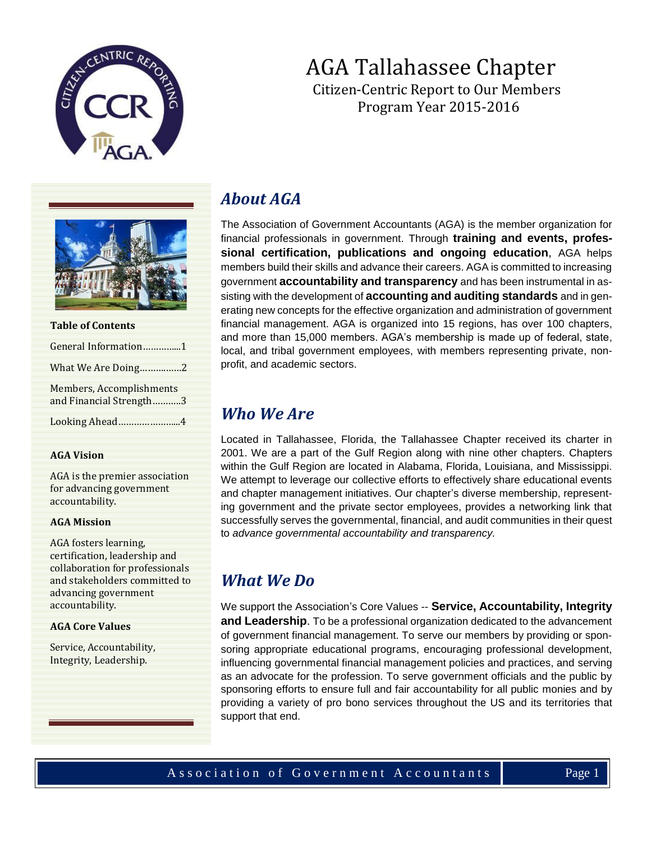





| <b>Table of Contents</b>                            |
|-----------------------------------------------------|
| General Information1                                |
| What We Are Doing2                                  |
| Members, Accomplishments<br>and Financial Strength3 |
| Looking Ahead4                                      |

#### **AGA Vision**

AGA is the premier association for advancing government accountability.

#### **AGA Mission**

AGA fosters learning, certification, leadership and collaboration for professionals and stakeholders committed to advancing government accountability.

#### **AGA Core Values**

Service, Accountability, Integrity, Leadership.

## *About AGA*

The Association of Government Accountants (AGA) is the member organization for financial professionals in government. Through **[training and events,](https://www.agacgfm.org/Training-and-Events.aspx) [profes](https://www.agacgfm.org/Certification.aspx)[sional certification,](https://www.agacgfm.org/Certification.aspx) publications and ongoing education**, AGA helps members build their skills and advance their careers. AGA is committed to increasing government **[accountability and transparency](https://www.agacgfm.org/Resources/Performance-Accountability.aspx)** and has been instrumental in assisting with the development of **[accounting and auditing standards](https://www.agacgfm.org/Resources/Performance-Accountability.aspx)** and in generating new concepts for the effective organization and administration of government financial management. AGA is organized into 15 regions, has over 100 chapters, and more than 15,000 members. AGA's membership is made up of federal, state, local, and tribal government employees, with members representing private, nonprofit, and academic sectors.

#### *Who We Are*

Located in Tallahassee, Florida, the Tallahassee Chapter received its charter in 2001. We are a part of the Gulf Region along with nine other chapters. Chapters within the Gulf Region are located in Alabama, Florida, Louisiana, and Mississippi. We attempt to leverage our collective efforts to effectively share educational events and chapter management initiatives. Our chapter's diverse membership, representing government and the private sector employees, provides a networking link that successfully serves the governmental, financial, and audit communities in their quest to *advance governmental accountability and transparency.*

## *What We Do*

We support the Association's Core Values -- **Service, Accountability, Integrity and Leadership**. To be a professional organization dedicated to the advancement of government financial management. To serve our members by providing or sponsoring appropriate educational programs, encouraging professional development, influencing governmental financial management policies and practices, and serving as an advocate for the profession. To serve government officials and the public by sponsoring efforts to ensure full and fair accountability for all public monies and by providing a variety of pro bono services throughout the US and its territories that support that end.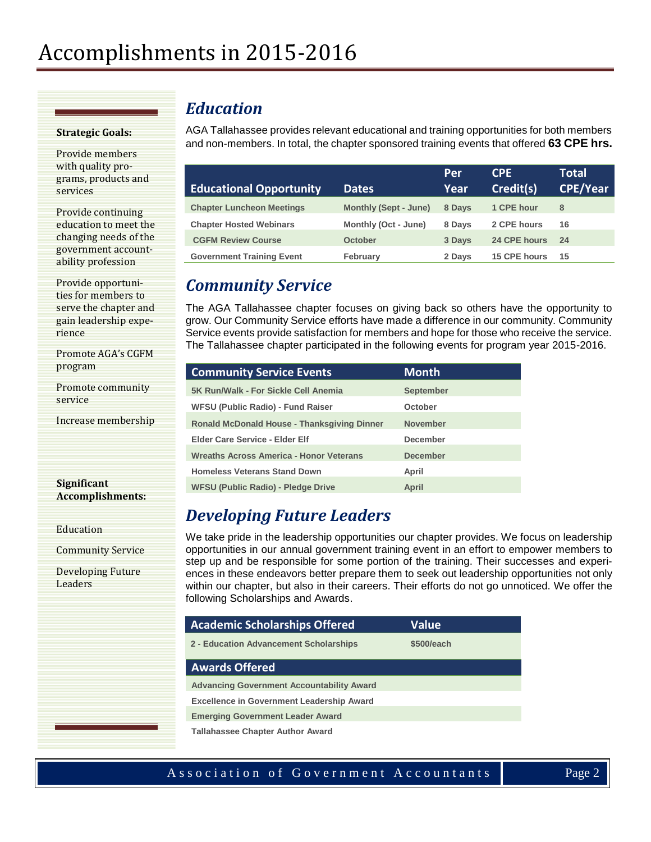#### **Strategic Goals:**

Provide members with quality programs, products and services

Provide continuing education to meet the changing needs of the government accountability profession

Provide opportunities for members to serve the chapter and gain leadership experience

Promote AGA's CGFM program

Promote community service

Increase membership

**Significant Accomplishments:**

Education

Community Service

Developing Future Leaders

### *Education*

AGA Tallahassee provides relevant educational and training opportunities for both members and non-members. In total, the chapter sponsored training events that offered **63 CPE hrs.**

|                                  |                              | Per    | <b>CPE</b>   | <b>Total</b>    |
|----------------------------------|------------------------------|--------|--------------|-----------------|
| <b>Educational Opportunity</b>   | <b>Dates</b>                 | Year   | Credit(s)    | <b>CPE/Year</b> |
| <b>Chapter Luncheon Meetings</b> | <b>Monthly (Sept - June)</b> | 8 Days | 1 CPE hour   | 8               |
| <b>Chapter Hosted Webinars</b>   | Monthly (Oct - June)         | 8 Days | 2 CPE hours  | 16              |
| <b>CGFM Review Course</b>        | October                      | 3 Days | 24 CPE hours | 24              |
| <b>Government Training Event</b> | February                     | 2 Days | 15 CPE hours | 15              |

### *Community Service*

The AGA Tallahassee chapter focuses on giving back so others have the opportunity to grow. Our Community Service efforts have made a difference in our community. Community Service events provide satisfaction for members and hope for those who receive the service. The Tallahassee chapter participated in the following events for program year 2015-2016.

| <b>Community Service Events</b>                    | <b>Month</b>     |
|----------------------------------------------------|------------------|
| 5K Run/Walk - For Sickle Cell Anemia               | <b>September</b> |
| <b>WFSU (Public Radio) - Fund Raiser</b>           | October          |
| <b>Ronald McDonald House - Thanksgiving Dinner</b> | <b>November</b>  |
| <b>Elder Care Service - Elder Elf</b>              | <b>December</b>  |
| Wreaths Across America - Honor Veterans            | <b>December</b>  |
| <b>Homeless Veterans Stand Down</b>                | April            |
| WFSU (Public Radio) - Pledge Drive                 | April            |

# *Developing Future Leaders*

We take pride in the leadership opportunities our chapter provides. We focus on leadership opportunities in our annual government training event in an effort to empower members to step up and be responsible for some portion of the training. Their successes and experiences in these endeavors better prepare them to seek out leadership opportunities not only within our chapter, but also in their careers. Their efforts do not go unnoticed. We offer the following Scholarships and Awards.

| <b>Academic Scholarships Offered</b>             | <b>Value</b> |
|--------------------------------------------------|--------------|
| 2 - Education Advancement Scholarships           | \$500/each   |
| <b>Awards Offered</b>                            |              |
| <b>Advancing Government Accountability Award</b> |              |
| <b>Excellence in Government Leadership Award</b> |              |
| <b>Emerging Government Leader Award</b>          |              |
| <b>Tallahassee Chapter Author Award</b>          |              |

#### Association of Government Accountants Page 2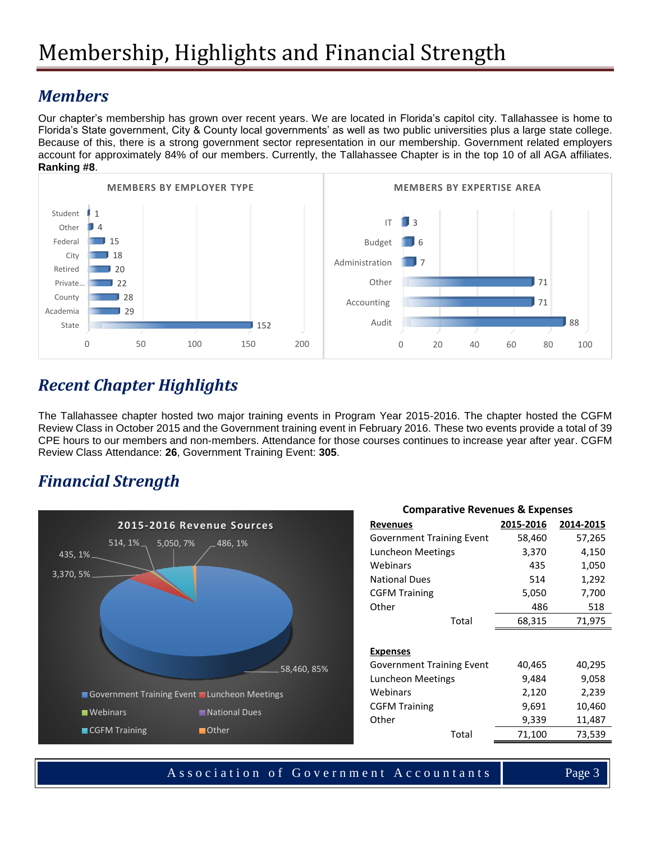### *Members*

Our chapter's membership has grown over recent years. We are located in Florida's capitol city. Tallahassee is home to Florida's State government, City & County local governments' as well as two public universities plus a large state college. Because of this, there is a strong government sector representation in our membership. Government related employers account for approximately 84% of our members. Currently, the Tallahassee Chapter is in the top 10 of all AGA affiliates. **Ranking #8**.



## *Recent Chapter Highlights*

The Tallahassee chapter hosted two major training events in Program Year 2015-2016. The chapter hosted the CGFM Review Class in October 2015 and the Government training event in February 2016. These two events provide a total of 39 CPE hours to our members and non-members. Attendance for those courses continues to increase year after year. CGFM Review Class Attendance: **26**, Government Training Event: **305**.

### *Financial Strength*



| <b>Comparative Revenues &amp; Expenses</b> |           |           |  |  |
|--------------------------------------------|-----------|-----------|--|--|
| <b>Revenues</b>                            | 2015-2016 | 2014-2015 |  |  |
| <b>Government Training Event</b>           | 58,460    | 57,265    |  |  |
| Luncheon Meetings                          | 3,370     | 4,150     |  |  |
| Webinars                                   | 435       | 1,050     |  |  |
| <b>National Dues</b>                       | 514       | 1,292     |  |  |
| <b>CGFM Training</b>                       | 5,050     | 7,700     |  |  |
| Other                                      | 486       | 518       |  |  |
| Total                                      | 68,315    | 71,975    |  |  |
|                                            |           |           |  |  |
| <b>Expenses</b>                            |           |           |  |  |
| <b>Government Training Event</b>           | 40,465    | 40,295    |  |  |
| Luncheon Meetings                          | 9,484     | 9,058     |  |  |
| Webinars                                   | 2,120     | 2,239     |  |  |
| <b>CGFM Training</b>                       | 9,691     | 10,460    |  |  |
| Other                                      | 9,339     | 11,487    |  |  |
| Total                                      | 71,100    | 73,539    |  |  |

Association of Government Accountants | Page 3